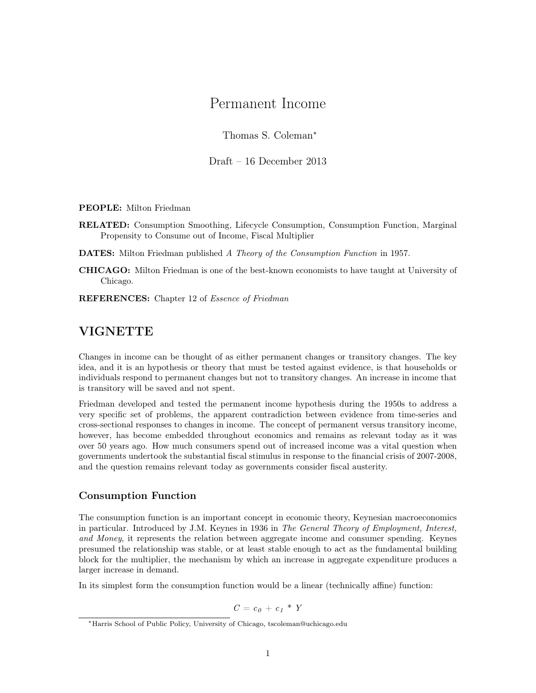# Permanent Income

Thomas S. Coleman<sup>∗</sup>

Draft – 16 December 2013

PEOPLE: Milton Friedman

RELATED: Consumption Smoothing, Lifecycle Consumption, Consumption Function, Marginal Propensity to Consume out of Income, Fiscal Multiplier

**DATES:** Milton Friedman published A Theory of the Consumption Function in 1957.

CHICAGO: Milton Friedman is one of the best-known economists to have taught at University of Chicago.

REFERENCES: Chapter 12 of Essence of Friedman

### VIGNETTE

Changes in income can be thought of as either permanent changes or transitory changes. The key idea, and it is an hypothesis or theory that must be tested against evidence, is that households or individuals respond to permanent changes but not to transitory changes. An increase in income that is transitory will be saved and not spent.

Friedman developed and tested the permanent income hypothesis during the 1950s to address a very specific set of problems, the apparent contradiction between evidence from time-series and cross-sectional responses to changes in income. The concept of permanent versus transitory income, however, has become embedded throughout economics and remains as relevant today as it was over 50 years ago. How much consumers spend out of increased income was a vital question when governments undertook the substantial fiscal stimulus in response to the financial crisis of 2007-2008, and the question remains relevant today as governments consider fiscal austerity.

#### Consumption Function

The consumption function is an important concept in economic theory, Keynesian macroeconomics in particular. Introduced by J.M. Keynes in 1936 in The General Theory of Employment, Interest, and Money, it represents the relation between aggregate income and consumer spending. Keynes presumed the relationship was stable, or at least stable enough to act as the fundamental building block for the multiplier, the mechanism by which an increase in aggregate expenditure produces a larger increase in demand.

In its simplest form the consumption function would be a linear (technically affine) function:

$$
C = c_0 + c_1 * Y
$$

<sup>∗</sup>Harris School of Public Policy, University of Chicago, tscoleman@uchicago.edu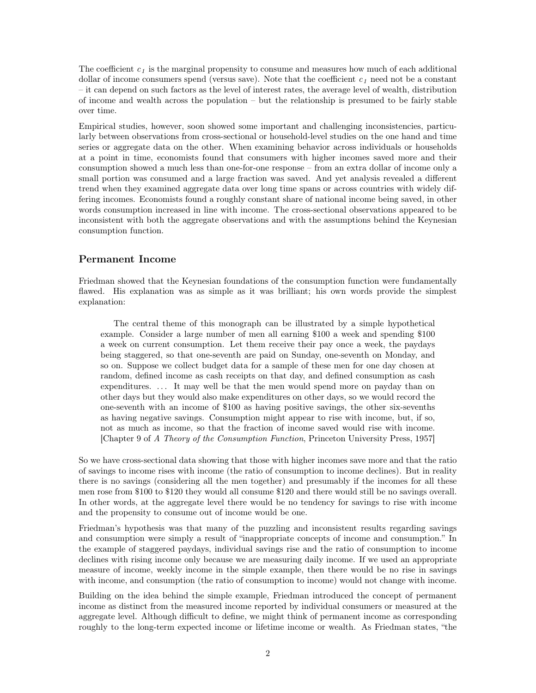The coefficient  $c_1$  is the marginal propensity to consume and measures how much of each additional dollar of income consumers spend (versus save). Note that the coefficient  $c<sub>1</sub>$  need not be a constant – it can depend on such factors as the level of interest rates, the average level of wealth, distribution of income and wealth across the population – but the relationship is presumed to be fairly stable over time.

Empirical studies, however, soon showed some important and challenging inconsistencies, particularly between observations from cross-sectional or household-level studies on the one hand and time series or aggregate data on the other. When examining behavior across individuals or households at a point in time, economists found that consumers with higher incomes saved more and their consumption showed a much less than one-for-one response – from an extra dollar of income only a small portion was consumed and a large fraction was saved. And yet analysis revealed a different trend when they examined aggregate data over long time spans or across countries with widely differing incomes. Economists found a roughly constant share of national income being saved, in other words consumption increased in line with income. The cross-sectional observations appeared to be inconsistent with both the aggregate observations and with the assumptions behind the Keynesian consumption function.

#### Permanent Income

Friedman showed that the Keynesian foundations of the consumption function were fundamentally flawed. His explanation was as simple as it was brilliant; his own words provide the simplest explanation:

The central theme of this monograph can be illustrated by a simple hypothetical example. Consider a large number of men all earning \$100 a week and spending \$100 a week on current consumption. Let them receive their pay once a week, the paydays being staggered, so that one-seventh are paid on Sunday, one-seventh on Monday, and so on. Suppose we collect budget data for a sample of these men for one day chosen at random, defined income as cash receipts on that day, and defined consumption as cash expenditures. . . . It may well be that the men would spend more on payday than on other days but they would also make expenditures on other days, so we would record the one-seventh with an income of \$100 as having positive savings, the other six-sevenths as having negative savings. Consumption might appear to rise with income, but, if so, not as much as income, so that the fraction of income saved would rise with income. [Chapter 9 of A Theory of the Consumption Function, Princeton University Press, 1957]

So we have cross-sectional data showing that those with higher incomes save more and that the ratio of savings to income rises with income (the ratio of consumption to income declines). But in reality there is no savings (considering all the men together) and presumably if the incomes for all these men rose from \$100 to \$120 they would all consume \$120 and there would still be no savings overall. In other words, at the aggregate level there would be no tendency for savings to rise with income and the propensity to consume out of income would be one.

Friedman's hypothesis was that many of the puzzling and inconsistent results regarding savings and consumption were simply a result of "inappropriate concepts of income and consumption." In the example of staggered paydays, individual savings rise and the ratio of consumption to income declines with rising income only because we are measuring daily income. If we used an appropriate measure of income, weekly income in the simple example, then there would be no rise in savings with income, and consumption (the ratio of consumption to income) would not change with income.

Building on the idea behind the simple example, Friedman introduced the concept of permanent income as distinct from the measured income reported by individual consumers or measured at the aggregate level. Although difficult to define, we might think of permanent income as corresponding roughly to the long-term expected income or lifetime income or wealth. As Friedman states, "the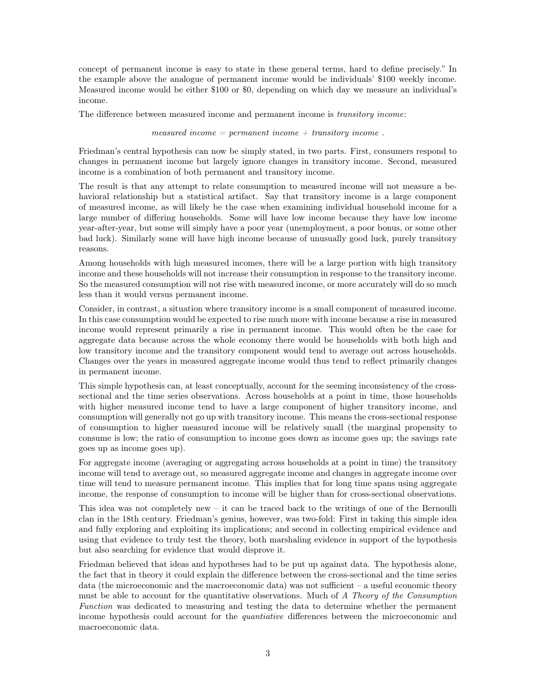concept of permanent income is easy to state in these general terms, hard to define precisely." In the example above the analogue of permanent income would be individuals' \$100 weekly income. Measured income would be either \$100 or \$0, depending on which day we measure an individual's income.

The difference between measured income and permanent income is transitory income:

measured income  $=$  permanent income  $+$  transitory income.

Friedman's central hypothesis can now be simply stated, in two parts. First, consumers respond to changes in permanent income but largely ignore changes in transitory income. Second, measured income is a combination of both permanent and transitory income.

The result is that any attempt to relate consumption to measured income will not measure a behavioral relationship but a statistical artifact. Say that transitory income is a large component of measured income, as will likely be the case when examining individual household income for a large number of differing households. Some will have low income because they have low income year-after-year, but some will simply have a poor year (unemployment, a poor bonus, or some other bad luck). Similarly some will have high income because of unusually good luck, purely transitory reasons.

Among households with high measured incomes, there will be a large portion with high transitory income and these households will not increase their consumption in response to the transitory income. So the measured consumption will not rise with measured income, or more accurately will do so much less than it would versus permanent income.

Consider, in contrast, a situation where transitory income is a small component of measured income. In this case consumption would be expected to rise much more with income because a rise in measured income would represent primarily a rise in permanent income. This would often be the case for aggregate data because across the whole economy there would be households with both high and low transitory income and the transitory component would tend to average out across households. Changes over the years in measured aggregate income would thus tend to reflect primarily changes in permanent income.

This simple hypothesis can, at least conceptually, account for the seeming inconsistency of the crosssectional and the time series observations. Across households at a point in time, those households with higher measured income tend to have a large component of higher transitory income, and consumption will generally not go up with transitory income. This means the cross-sectional response of consumption to higher measured income will be relatively small (the marginal propensity to consume is low; the ratio of consumption to income goes down as income goes up; the savings rate goes up as income goes up).

For aggregate income (averaging or aggregating across households at a point in time) the transitory income will tend to average out, so measured aggregate income and changes in aggregate income over time will tend to measure permanent income. This implies that for long time spans using aggregate income, the response of consumption to income will be higher than for cross-sectional observations.

This idea was not completely new  $-$  it can be traced back to the writings of one of the Bernoulli clan in the 18th century. Friedman's genius, however, was two-fold: First in taking this simple idea and fully exploring and exploiting its implications; and second in collecting empirical evidence and using that evidence to truly test the theory, both marshaling evidence in support of the hypothesis but also searching for evidence that would disprove it.

Friedman believed that ideas and hypotheses had to be put up against data. The hypothesis alone, the fact that in theory it could explain the difference between the cross-sectional and the time series data (the microeconomic and the macroeconomic data) was not sufficient – a useful economic theory must be able to account for the quantitative observations. Much of A Theory of the Consumption Function was dedicated to measuring and testing the data to determine whether the permanent income hypothesis could account for the *quantiative* differences between the microeconomic and macroeconomic data.